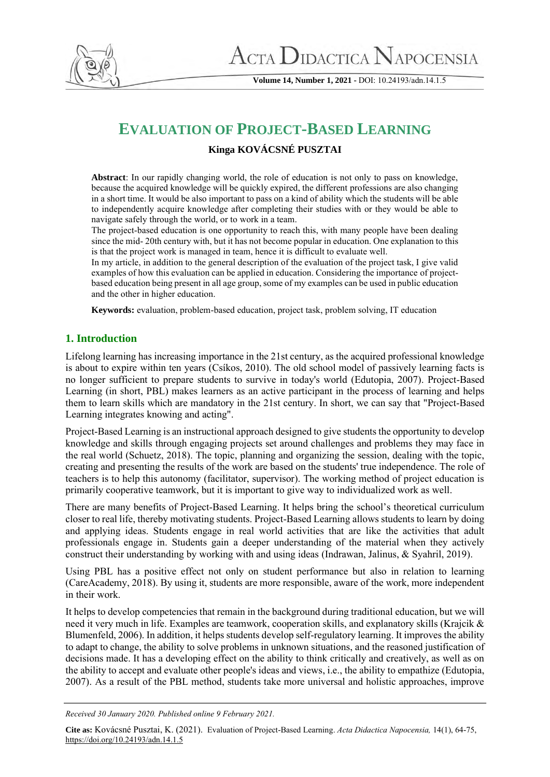

**Volume 14, Number 1, 2021 -** DOI: 10.24193/adn.14.1.5

# **EVALUATION OF PROJECT-BASED LEARNING**

# **Kinga KOVÁCSNÉ PUSZTAI**

**Abstract**: In our rapidly changing world, the role of education is not only to pass on knowledge, because the acquired knowledge will be quickly expired, the different professions are also changing in a short time. It would be also important to pass on a kind of ability which the students will be able to independently acquire knowledge after completing their studies with or they would be able to navigate safely through the world, or to work in a team.

The project-based education is one opportunity to reach this, with many people have been dealing since the mid- 20th century with, but it has not become popular in education. One explanation to this is that the project work is managed in team, hence it is difficult to evaluate well.

In my article, in addition to the general description of the evaluation of the project task, I give valid examples of how this evaluation can be applied in education. Considering the importance of projectbased education being present in all age group, some of my examples can be used in public education and the other in higher education.

**Keywords:** evaluation, problem-based education, project task, problem solving, IT education

# **1. Introduction**

Lifelong learning has increasing importance in the 21st century, as the acquired professional knowledge is about to expire within ten years (Csíkos, 2010). The old school model of passively learning facts is no longer sufficient to prepare students to survive in today's world (Edutopia, 2007). Project-Based Learning (in short, PBL) makes learners as an active participant in the process of learning and helps them to learn skills which are mandatory in the 21st century. In short, we can say that "Project-Based Learning integrates knowing and acting".

Project-Based Learning is an instructional approach designed to give students the opportunity to develop knowledge and skills through engaging projects set around challenges and problems they may face in the real world (Schuetz, 2018). The topic, planning and organizing the session, dealing with the topic, creating and presenting the results of the work are based on the students' true independence. The role of teachers is to help this autonomy (facilitator, supervisor). The working method of project education is primarily cooperative teamwork, but it is important to give way to individualized work as well.

There are many benefits of Project-Based Learning. It helps bring the school's theoretical curriculum closer to real life, thereby motivating students. Project-Based Learning allows students to learn by doing and applying ideas. Students engage in real world activities that are like the activities that adult professionals engage in. Students gain a deeper understanding of the material when they actively construct their understanding by working with and using ideas (Indrawan, Jalinus, & Syahril, 2019).

Using PBL has a positive effect not only on student performance but also in relation to learning (CareAcademy, 2018). By using it, students are more responsible, aware of the work, more independent in their work.

It helps to develop competencies that remain in the background during traditional education, but we will need it very much in life. Examples are teamwork, cooperation skills, and explanatory skills (Krajcik & Blumenfeld, 2006). In addition, it helps students develop self-regulatory learning. It improves the ability to adapt to change, the ability to solve problems in unknown situations, and the reasoned justification of decisions made. It has a developing effect on the ability to think critically and creatively, as well as on the ability to accept and evaluate other people's ideas and views, i.e., the ability to empathize (Edutopia, 2007). As a result of the PBL method, students take more universal and holistic approaches, improve

**Cite as:** Kovácsné Pusztai, K. (2021). Evaluation of Project-Based Learning. *Acta Didactica Napocensia,* 14(1), 64-75, <https://doi.org/10.24193/adn.14.1.5>

*Received 30 January 2020. Published online 9 February 2021.*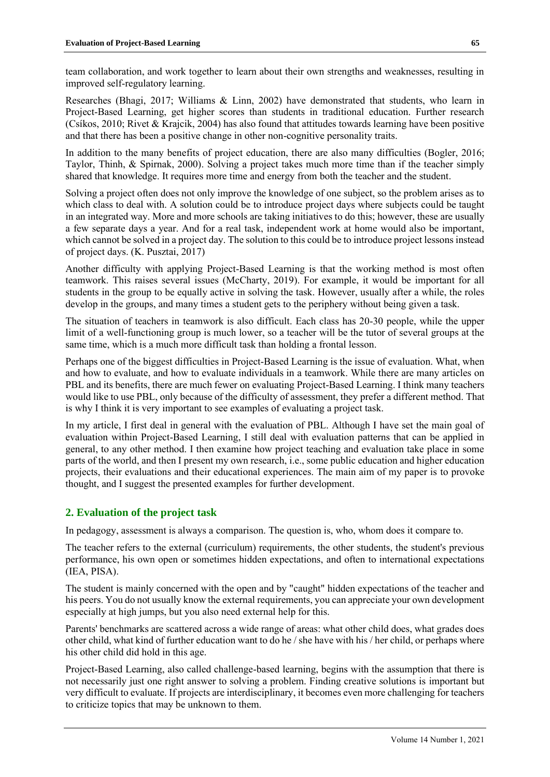team collaboration, and work together to learn about their own strengths and weaknesses, resulting in improved self-regulatory learning.

Researches (Bhagi, 2017; Williams & Linn, 2002) have demonstrated that students, who learn in Project-Based Learning, get higher scores than students in traditional education. Further research (Csíkos, 2010; Rivet & Krajcik, 2004) has also found that attitudes towards learning have been positive and that there has been a positive change in other non-cognitive personality traits.

In addition to the many benefits of project education, there are also many difficulties (Bogler, 2016; Taylor, Thinh, & Spirnak, 2000). Solving a project takes much more time than if the teacher simply shared that knowledge. It requires more time and energy from both the teacher and the student.

Solving a project often does not only improve the knowledge of one subject, so the problem arises as to which class to deal with. A solution could be to introduce project days where subjects could be taught in an integrated way. More and more schools are taking initiatives to do this; however, these are usually a few separate days a year. And for a real task, independent work at home would also be important, which cannot be solved in a project day. The solution to this could be to introduce project lessons instead of project days. (K. Pusztai, 2017)

Another difficulty with applying Project-Based Learning is that the working method is most often teamwork. This raises several issues (McCharty, 2019). For example, it would be important for all students in the group to be equally active in solving the task. However, usually after a while, the roles develop in the groups, and many times a student gets to the periphery without being given a task.

The situation of teachers in teamwork is also difficult. Each class has 20-30 people, while the upper limit of a well-functioning group is much lower, so a teacher will be the tutor of several groups at the same time, which is a much more difficult task than holding a frontal lesson.

Perhaps one of the biggest difficulties in Project-Based Learning is the issue of evaluation. What, when and how to evaluate, and how to evaluate individuals in a teamwork. While there are many articles on PBL and its benefits, there are much fewer on evaluating Project-Based Learning. I think many teachers would like to use PBL, only because of the difficulty of assessment, they prefer a different method. That is why I think it is very important to see examples of evaluating a project task.

In my article, I first deal in general with the evaluation of PBL. Although I have set the main goal of evaluation within Project-Based Learning, I still deal with evaluation patterns that can be applied in general, to any other method. I then examine how project teaching and evaluation take place in some parts of the world, and then I present my own research, i.e., some public education and higher education projects, their evaluations and their educational experiences. The main aim of my paper is to provoke thought, and I suggest the presented examples for further development.

## **2. Evaluation of the project task**

In pedagogy, assessment is always a comparison. The question is, who, whom does it compare to.

The teacher refers to the external (curriculum) requirements, the other students, the student's previous performance, his own open or sometimes hidden expectations, and often to international expectations (IEA, PISA).

The student is mainly concerned with the open and by "caught" hidden expectations of the teacher and his peers. You do not usually know the external requirements, you can appreciate your own development especially at high jumps, but you also need external help for this.

Parents' benchmarks are scattered across a wide range of areas: what other child does, what grades does other child, what kind of further education want to do he / she have with his / her child, or perhaps where his other child did hold in this age.

Project-Based Learning, also called challenge-based learning, begins with the assumption that there is not necessarily just one right answer to solving a problem. Finding creative solutions is important but very difficult to evaluate. If projects are interdisciplinary, it becomes even more challenging for teachers to criticize topics that may be unknown to them.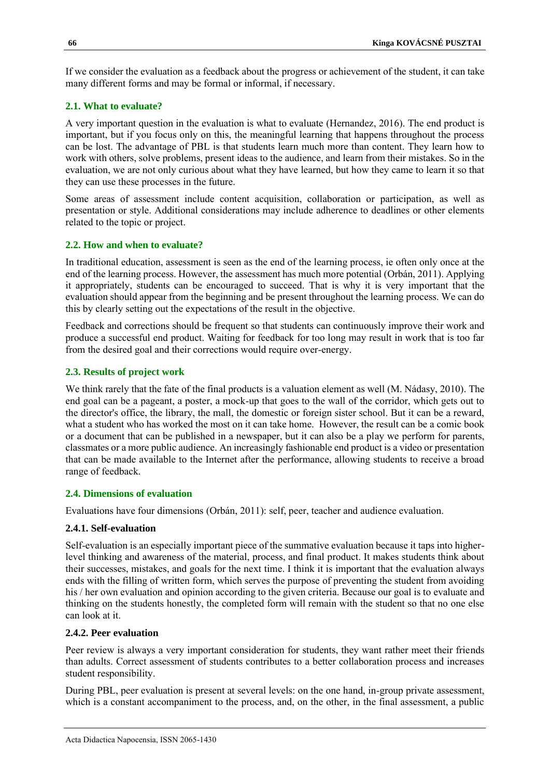If we consider the evaluation as a feedback about the progress or achievement of the student, it can take many different forms and may be formal or informal, if necessary.

# **2.1. What to evaluate?**

A very important question in the evaluation is what to evaluate (Hernandez, 2016). The end product is important, but if you focus only on this, the meaningful learning that happens throughout the process can be lost. The advantage of PBL is that students learn much more than content. They learn how to work with others, solve problems, present ideas to the audience, and learn from their mistakes. So in the evaluation, we are not only curious about what they have learned, but how they came to learn it so that they can use these processes in the future.

Some areas of assessment include content acquisition, collaboration or participation, as well as presentation or style. Additional considerations may include adherence to deadlines or other elements related to the topic or project.

# **2.2. How and when to evaluate?**

In traditional education, assessment is seen as the end of the learning process, ie often only once at the end of the learning process. However, the assessment has much more potential (Orbán, 2011). Applying it appropriately, students can be encouraged to succeed. That is why it is very important that the evaluation should appear from the beginning and be present throughout the learning process. We can do this by clearly setting out the expectations of the result in the objective.

Feedback and corrections should be frequent so that students can continuously improve their work and produce a successful end product. Waiting for feedback for too long may result in work that is too far from the desired goal and their corrections would require over-energy.

# **2.3. Results of project work**

We think rarely that the fate of the final products is a valuation element as well (M. Nádasy, 2010). The end goal can be a pageant, a poster, a mock-up that goes to the wall of the corridor, which gets out to the director's office, the library, the mall, the domestic or foreign sister school. But it can be a reward, what a student who has worked the most on it can take home. However, the result can be a comic book or a document that can be published in a newspaper, but it can also be a play we perform for parents, classmates or a more public audience. An increasingly fashionable end product is a video or presentation that can be made available to the Internet after the performance, allowing students to receive a broad range of feedback.

# **2.4. Dimensions of evaluation**

Evaluations have four dimensions (Orbán, 2011): self, peer, teacher and audience evaluation.

## **2.4.1. Self-evaluation**

Self-evaluation is an especially important piece of the summative evaluation because it taps into higherlevel thinking and awareness of the material, process, and final product. It makes students think about their successes, mistakes, and goals for the next time. I think it is important that the evaluation always ends with the filling of written form, which serves the purpose of preventing the student from avoiding his / her own evaluation and opinion according to the given criteria. Because our goal is to evaluate and thinking on the students honestly, the completed form will remain with the student so that no one else can look at it.

## **2.4.2. Peer evaluation**

Peer review is always a very important consideration for students, they want rather meet their friends than adults. Correct assessment of students contributes to a better collaboration process and increases student responsibility.

During PBL, peer evaluation is present at several levels: on the one hand, in-group private assessment, which is a constant accompaniment to the process, and, on the other, in the final assessment, a public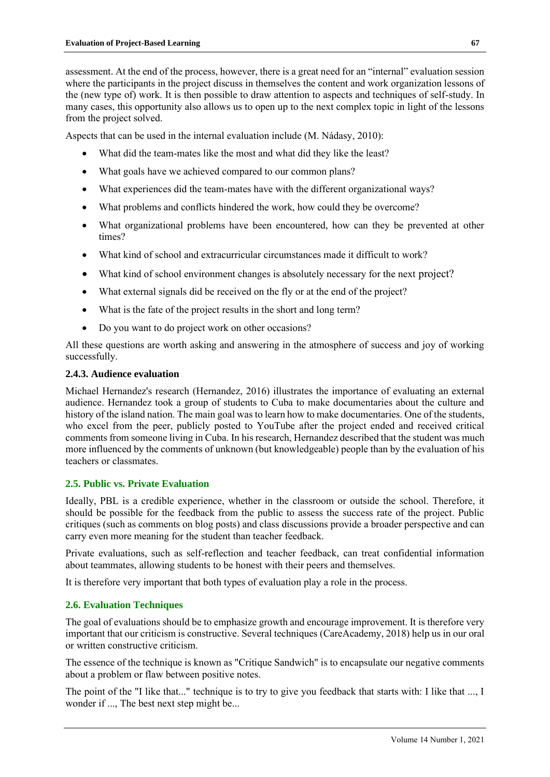assessment. At the end of the process, however, there is a great need for an "internal" evaluation session where the participants in the project discuss in themselves the content and work organization lessons of the (new type of) work. It is then possible to draw attention to aspects and techniques of self-study. In many cases, this opportunity also allows us to open up to the next complex topic in light of the lessons from the project solved.

Aspects that can be used in the internal evaluation include (M. Nádasy, 2010):

- What did the team-mates like the most and what did they like the least?
- What goals have we achieved compared to our common plans?
- What experiences did the team-mates have with the different organizational ways?
- What problems and conflicts hindered the work, how could they be overcome?
- What organizational problems have been encountered, how can they be prevented at other times?
- What kind of school and extracurricular circumstances made it difficult to work?
- What kind of school environment changes is absolutely necessary for the next project?
- What external signals did be received on the fly or at the end of the project?
- What is the fate of the project results in the short and long term?
- Do you want to do project work on other occasions?

All these questions are worth asking and answering in the atmosphere of success and joy of working successfully.

#### **2.4.3. Audience evaluation**

Michael Hernandez's research (Hernandez, 2016) illustrates the importance of evaluating an external audience. Hernandez took a group of students to Cuba to make documentaries about the culture and history of the island nation. The main goal was to learn how to make documentaries. One of the students, who excel from the peer, publicly posted to YouTube after the project ended and received critical comments from someone living in Cuba. In his research, Hernandez described that the student was much more influenced by the comments of unknown (but knowledgeable) people than by the evaluation of his teachers or classmates.

#### **2.5. Public vs. Private Evaluation**

Ideally, PBL is a credible experience, whether in the classroom or outside the school. Therefore, it should be possible for the feedback from the public to assess the success rate of the project. Public critiques (such as comments on blog posts) and class discussions provide a broader perspective and can carry even more meaning for the student than teacher feedback.

Private evaluations, such as self-reflection and teacher feedback, can treat confidential information about teammates, allowing students to be honest with their peers and themselves.

It is therefore very important that both types of evaluation play a role in the process.

#### **2.6. Evaluation Techniques**

The goal of evaluations should be to emphasize growth and encourage improvement. It is therefore very important that our criticism is constructive. Several techniques (CareAcademy, 2018) help us in our oral or written constructive criticism.

The essence of the technique is known as "Critique Sandwich" is to encapsulate our negative comments about a problem or flaw between positive notes.

The point of the "I like that..." technique is to try to give you feedback that starts with: I like that ..., I wonder if ..., The best next step might be...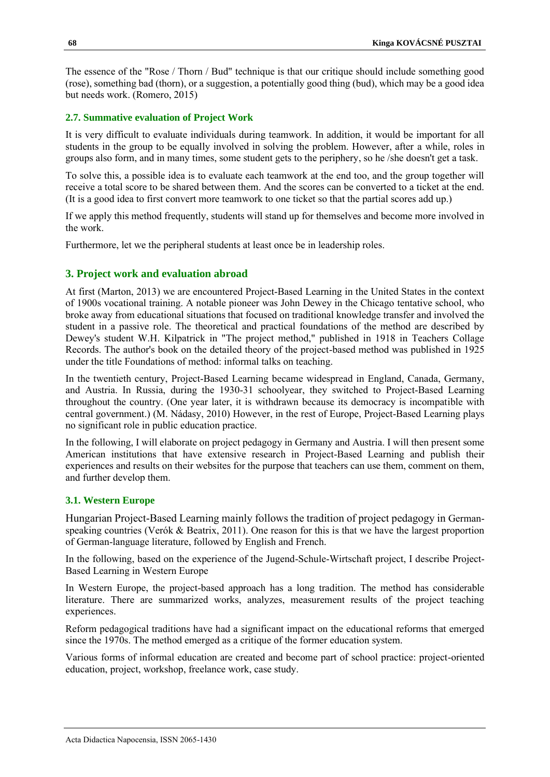The essence of the "Rose / Thorn / Bud" technique is that our critique should include something good (rose), something bad (thorn), or a suggestion, a potentially good thing (bud), which may be a good idea but needs work. (Romero, 2015)

# **2.7. Summative evaluation of Project Work**

It is very difficult to evaluate individuals during teamwork. In addition, it would be important for all students in the group to be equally involved in solving the problem. However, after a while, roles in groups also form, and in many times, some student gets to the periphery, so he /she doesn't get a task.

To solve this, a possible idea is to evaluate each teamwork at the end too, and the group together will receive a total score to be shared between them. And the scores can be converted to a ticket at the end. (It is a good idea to first convert more teamwork to one ticket so that the partial scores add up.)

If we apply this method frequently, students will stand up for themselves and become more involved in the work.

Furthermore, let we the peripheral students at least once be in leadership roles.

# **3. Project work and evaluation abroad**

At first (Marton, 2013) we are encountered Project-Based Learning in the United States in the context of 1900s vocational training. A notable pioneer was John Dewey in the Chicago tentative school, who broke away from educational situations that focused on traditional knowledge transfer and involved the student in a passive role. The theoretical and practical foundations of the method are described by Dewey's student W.H. Kilpatrick in "The project method," published in 1918 in Teachers Collage Records. The author's book on the detailed theory of the project-based method was published in 1925 under the title Foundations of method: informal talks on teaching.

In the twentieth century, Project-Based Learning became widespread in England, Canada, Germany, and Austria. In Russia, during the 1930-31 schoolyear, they switched to Project-Based Learning throughout the country. (One year later, it is withdrawn because its democracy is incompatible with central government.) (M. Nádasy, 2010) However, in the rest of Europe, Project-Based Learning plays no significant role in public education practice.

In the following, I will elaborate on project pedagogy in Germany and Austria. I will then present some American institutions that have extensive research in Project-Based Learning and publish their experiences and results on their websites for the purpose that teachers can use them, comment on them, and further develop them.

## **3.1. Western Europe**

Hungarian Project-Based Learning mainly follows the tradition of project pedagogy in Germanspeaking countries (Verók & Beatrix, 2011). One reason for this is that we have the largest proportion of German-language literature, followed by English and French.

In the following, based on the experience of the Jugend-Schule-Wirtschaft project, I describe Project-Based Learning in Western Europe

In Western Europe, the project-based approach has a long tradition. The method has considerable literature. There are summarized works, analyzes, measurement results of the project teaching experiences.

Reform pedagogical traditions have had a significant impact on the educational reforms that emerged since the 1970s. The method emerged as a critique of the former education system.

Various forms of informal education are created and become part of school practice: project-oriented education, project, workshop, freelance work, case study.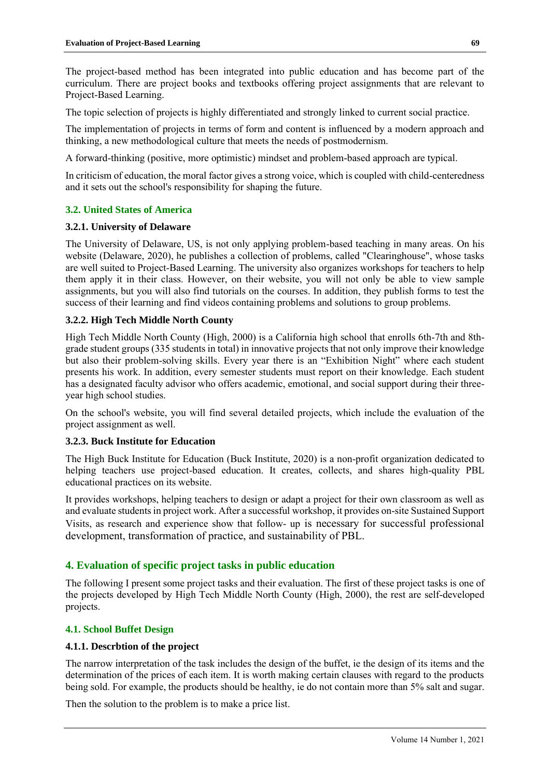The project-based method has been integrated into public education and has become part of the curriculum. There are project books and textbooks offering project assignments that are relevant to Project-Based Learning.

The topic selection of projects is highly differentiated and strongly linked to current social practice.

The implementation of projects in terms of form and content is influenced by a modern approach and thinking, a new methodological culture that meets the needs of postmodernism.

A forward-thinking (positive, more optimistic) mindset and problem-based approach are typical.

In criticism of education, the moral factor gives a strong voice, which is coupled with child-centeredness and it sets out the school's responsibility for shaping the future.

#### **3.2. United States of America**

#### **3.2.1. University of Delaware**

The University of Delaware, US, is not only applying problem-based teaching in many areas. On his website (Delaware, 2020), he publishes a collection of problems, called "Clearinghouse", whose tasks are well suited to Project-Based Learning. The university also organizes workshops for teachers to help them apply it in their class. However, on their website, you will not only be able to view sample assignments, but you will also find tutorials on the courses. In addition, they publish forms to test the success of their learning and find videos containing problems and solutions to group problems.

#### **3.2.2. High Tech Middle North County**

High Tech Middle North County (High, 2000) is a California high school that enrolls 6th-7th and 8thgrade student groups (335 students in total) in innovative projects that not only improve their knowledge but also their problem-solving skills. Every year there is an "Exhibition Night" where each student presents his work. In addition, every semester students must report on their knowledge. Each student has a designated faculty advisor who offers academic, emotional, and social support during their threeyear high school studies.

On the school's website, you will find several detailed projects, which include the evaluation of the project assignment as well.

#### **3.2.3. Buck Institute for Education**

The High Buck Institute for Education (Buck Institute, 2020) is a non-profit organization dedicated to helping teachers use project-based education. It creates, collects, and shares high-quality PBL educational practices on its website.

It provides workshops, helping teachers to design or adapt a project for their own classroom as well as and evaluate students in project work. After a successful workshop, it provides on-site Sustained Support Visits, as research and experience show that follow- up is necessary for successful professional development, transformation of practice, and sustainability of PBL.

#### **4. Evaluation of specific project tasks in public education**

The following I present some project tasks and their evaluation. The first of these project tasks is one of the projects developed by High Tech Middle North County (High, 2000), the rest are self-developed projects.

#### **4.1. School Buffet Design**

#### **4.1.1. Descrbtion of the project**

The narrow interpretation of the task includes the design of the buffet, ie the design of its items and the determination of the prices of each item. It is worth making certain clauses with regard to the products being sold. For example, the products should be healthy, ie do not contain more than 5% salt and sugar.

Then the solution to the problem is to make a price list.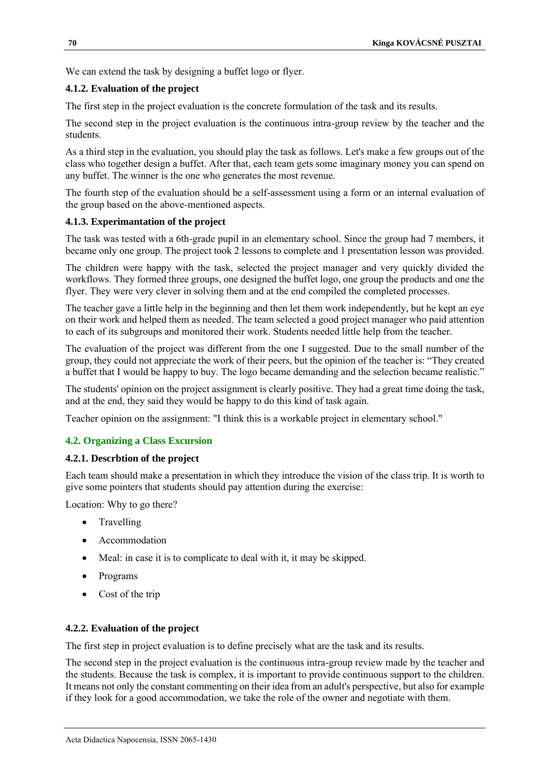We can extend the task by designing a buffet logo or flyer.

# **4.1.2. Evaluation of the project**

The first step in the project evaluation is the concrete formulation of the task and its results.

The second step in the project evaluation is the continuous intra-group review by the teacher and the students.

As a third step in the evaluation, you should play the task as follows. Let's make a few groups out of the class who together design a buffet. After that, each team gets some imaginary money you can spend on any buffet. The winner is the one who generates the most revenue.

The fourth step of the evaluation should be a self-assessment using a form or an internal evaluation of the group based on the above-mentioned aspects.

## **4.1.3. Experimantation of the project**

The task was tested with a 6th-grade pupil in an elementary school. Since the group had 7 members, it became only one group. The project took 2 lessons to complete and 1 presentation lesson was provided.

The children were happy with the task, selected the project manager and very quickly divided the workflows. They formed three groups, one designed the buffet logo, one group the products and one the flyer. They were very clever in solving them and at the end compiled the completed processes.

The teacher gave a little help in the beginning and then let them work independently, but he kept an eye on their work and helped them as needed. The team selected a good project manager who paid attention to each of its subgroups and monitored their work. Students needed little help from the teacher.

The evaluation of the project was different from the one I suggested. Due to the small number of the group, they could not appreciate the work of their peers, but the opinion of the teacher is: "They created a buffet that I would be happy to buy. The logo became demanding and the selection became realistic."

The students' opinion on the project assignment is clearly positive. They had a great time doing the task, and at the end, they said they would be happy to do this kind of task again.

Teacher opinion on the assignment: "I think this is a workable project in elementary school."

# **4.2. Organizing a Class Excursion**

## **4.2.1. Descrbtion of the project**

Each team should make a presentation in which they introduce the vision of the class trip. It is worth to give some pointers that students should pay attention during the exercise:

Location: Why to go there?

- Travelling
- Accommodation
- Meal: in case it is to complicate to deal with it, it may be skipped.
- Programs
- Cost of the trip

## **4.2.2. Evaluation of the project**

The first step in project evaluation is to define precisely what are the task and its results.

The second step in the project evaluation is the continuous intra-group review made by the teacher and the students. Because the task is complex, it is important to provide continuous support to the children. It means not only the constant commenting on their idea from an adult's perspective, but also for example if they look for a good accommodation, we take the role of the owner and negotiate with them.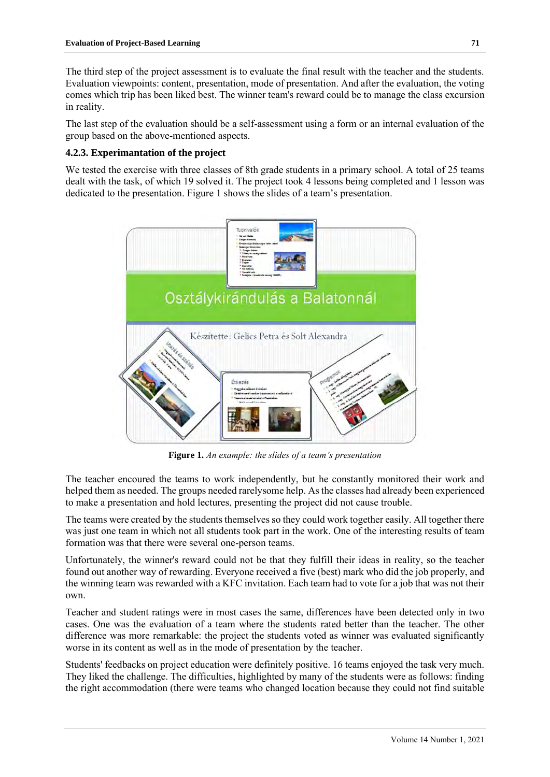The third step of the project assessment is to evaluate the final result with the teacher and the students. Evaluation viewpoints: content, presentation, mode of presentation. And after the evaluation, the voting comes which trip has been liked best. The winner team's reward could be to manage the class excursion in reality.

The last step of the evaluation should be a self-assessment using a form or an internal evaluation of the group based on the above-mentioned aspects.

## **4.2.3. Experimantation of the project**

We tested the exercise with three classes of 8th grade students in a primary school. A total of 25 teams dealt with the task, of which 19 solved it. The project took 4 lessons being completed and 1 lesson was dedicated to the presentation. Figure 1 shows the slides of a team's presentation.



**Figure 1.** *An example: the slides of a team's presentation*

The teacher encoured the teams to work independently, but he constantly monitored their work and helped them as needed. The groups needed rarelysome help. As the classes had already been experienced to make a presentation and hold lectures, presenting the project did not cause trouble.

The teams were created by the students themselves so they could work together easily. All together there was just one team in which not all students took part in the work. One of the interesting results of team formation was that there were several one-person teams.

Unfortunately, the winner's reward could not be that they fulfill their ideas in reality, so the teacher found out another way of rewarding. Everyone received a five (best) mark who did the job properly, and the winning team was rewarded with a KFC invitation. Each team had to vote for a job that was not their own.

Teacher and student ratings were in most cases the same, differences have been detected only in two cases. One was the evaluation of a team where the students rated better than the teacher. The other difference was more remarkable: the project the students voted as winner was evaluated significantly worse in its content as well as in the mode of presentation by the teacher.

Students' feedbacks on project education were definitely positive. 16 teams enjoyed the task very much. They liked the challenge. The difficulties, highlighted by many of the students were as follows: finding the right accommodation (there were teams who changed location because they could not find suitable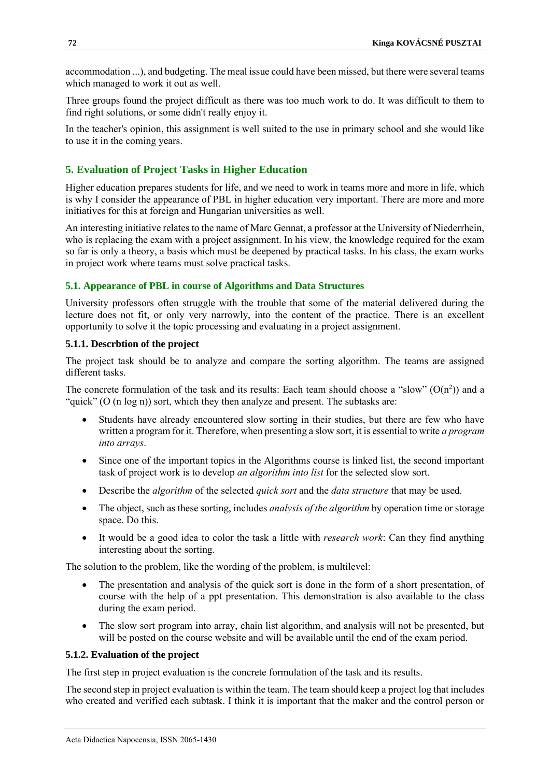accommodation ...), and budgeting. The meal issue could have been missed, but there were several teams which managed to work it out as well.

Three groups found the project difficult as there was too much work to do. It was difficult to them to find right solutions, or some didn't really enjoy it.

In the teacher's opinion, this assignment is well suited to the use in primary school and she would like to use it in the coming years.

# **5. Evaluation of Project Tasks in Higher Education**

Higher education prepares students for life, and we need to work in teams more and more in life, which is why I consider the appearance of PBL in higher education very important. There are more and more initiatives for this at foreign and Hungarian universities as well.

An interesting initiative relates to the name of Marc Gennat, a professor at the University of Niederrhein, who is replacing the exam with a project assignment. In his view, the knowledge required for the exam so far is only a theory, a basis which must be deepened by practical tasks. In his class, the exam works in project work where teams must solve practical tasks.

## **5.1. Appearance of PBL in course of Algorithms and Data Structures**

University professors often struggle with the trouble that some of the material delivered during the lecture does not fit, or only very narrowly, into the content of the practice. There is an excellent opportunity to solve it the topic processing and evaluating in a project assignment.

### **5.1.1. Descrbtion of the project**

The project task should be to analyze and compare the sorting algorithm. The teams are assigned different tasks.

The concrete formulation of the task and its results: Each team should choose a "slow"  $(O(n^2))$  and a "quick" (O (n log n)) sort, which they then analyze and present. The subtasks are:

- Students have already encountered slow sorting in their studies, but there are few who have written a program for it. Therefore, when presenting a slow sort, it is essential to write *a program into arrays*.
- Since one of the important topics in the Algorithms course is linked list, the second important task of project work is to develop *an algorithm into list* for the selected slow sort.
- Describe the *algorithm* of the selected *quick sort* and the *data structure* that may be used.
- The object, such as these sorting, includes *analysis of the algorithm* by operation time or storage space. Do this.
- It would be a good idea to color the task a little with *research work*: Can they find anything interesting about the sorting.

The solution to the problem, like the wording of the problem, is multilevel:

- The presentation and analysis of the quick sort is done in the form of a short presentation, of course with the help of a ppt presentation. This demonstration is also available to the class during the exam period.
- The slow sort program into array, chain list algorithm, and analysis will not be presented, but will be posted on the course website and will be available until the end of the exam period.

## **5.1.2. Evaluation of the project**

The first step in project evaluation is the concrete formulation of the task and its results.

The second step in project evaluation is within the team. The team should keep a project log that includes who created and verified each subtask. I think it is important that the maker and the control person or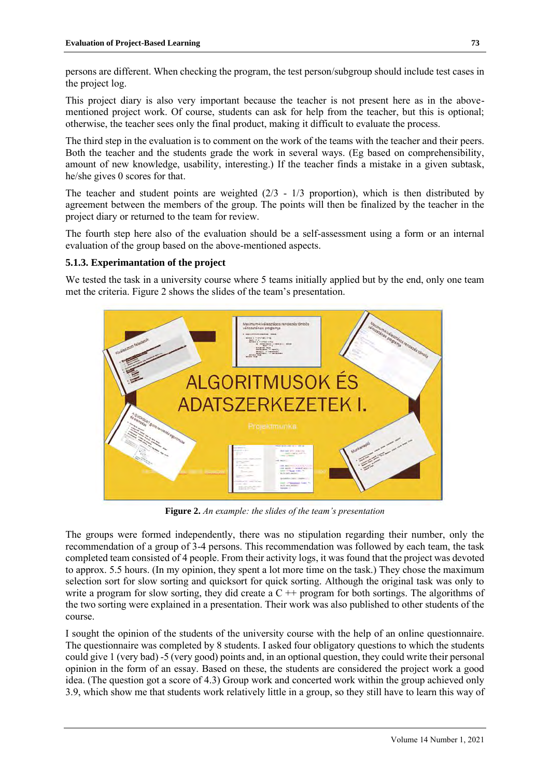persons are different. When checking the program, the test person/subgroup should include test cases in the project log.

This project diary is also very important because the teacher is not present here as in the abovementioned project work. Of course, students can ask for help from the teacher, but this is optional; otherwise, the teacher sees only the final product, making it difficult to evaluate the process.

The third step in the evaluation is to comment on the work of the teams with the teacher and their peers. Both the teacher and the students grade the work in several ways. (Eg based on comprehensibility, amount of new knowledge, usability, interesting.) If the teacher finds a mistake in a given subtask, he/she gives 0 scores for that.

The teacher and student points are weighted  $(2/3 - 1/3)$  proportion), which is then distributed by agreement between the members of the group. The points will then be finalized by the teacher in the project diary or returned to the team for review.

The fourth step here also of the evaluation should be a self-assessment using a form or an internal evaluation of the group based on the above-mentioned aspects.

# **5.1.3. Experimantation of the project**

We tested the task in a university course where 5 teams initially applied but by the end, only one team met the criteria. Figure 2 shows the slides of the team's presentation.



**Figure 2.** *An example: the slides of the team's presentation*

The groups were formed independently, there was no stipulation regarding their number, only the recommendation of a group of 3-4 persons. This recommendation was followed by each team, the task completed team consisted of 4 people. From their activity logs, it was found that the project was devoted to approx. 5.5 hours. (In my opinion, they spent a lot more time on the task.) They chose the maximum selection sort for slow sorting and quicksort for quick sorting. Although the original task was only to write a program for slow sorting, they did create a  $C ++$  program for both sortings. The algorithms of the two sorting were explained in a presentation. Their work was also published to other students of the course.

I sought the opinion of the students of the university course with the help of an online questionnaire. The questionnaire was completed by 8 students. I asked four obligatory questions to which the students could give 1 (very bad) -5 (very good) points and, in an optional question, they could write their personal opinion in the form of an essay. Based on these, the students are considered the project work a good idea. (The question got a score of 4.3) Group work and concerted work within the group achieved only 3.9, which show me that students work relatively little in a group, so they still have to learn this way of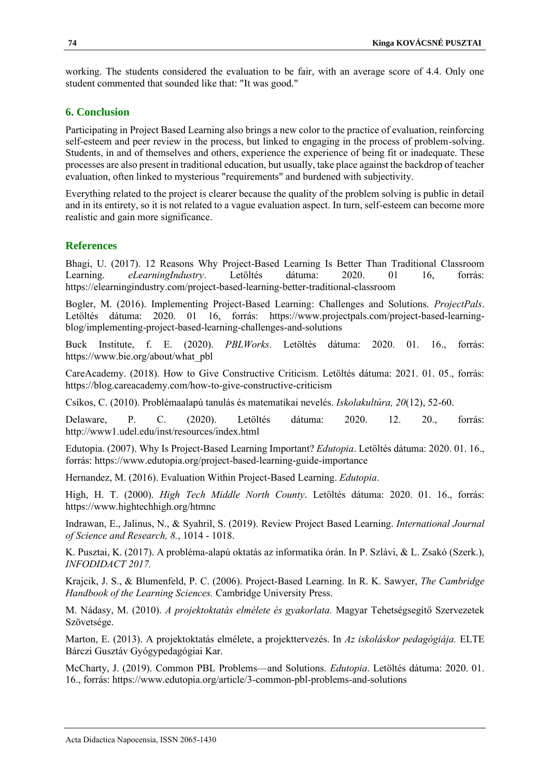working. The students considered the evaluation to be fair, with an average score of 4.4. Only one student commented that sounded like that: "It was good."

## **6. Conclusion**

Participating in Project Based Learning also brings a new color to the practice of evaluation, reinforcing self-esteem and peer review in the process, but linked to engaging in the process of problem-solving. Students, in and of themselves and others, experience the experience of being fit or inadequate. These processes are also present in traditional education, but usually, take place against the backdrop of teacher evaluation, often linked to mysterious "requirements" and burdened with subjectivity.

Everything related to the project is clearer because the quality of the problem solving is public in detail and in its entirety, so it is not related to a vague evaluation aspect. In turn, self-esteem can become more realistic and gain more significance.

# **References**

Bhagi, U. (2017). 12 Reasons Why Project-Based Learning Is Better Than Traditional Classroom Learning. *eLearningIndustry*. Letöltés dátuma: 2020. 01 16, forrás: https://elearningindustry.com/project-based-learning-better-traditional-classroom

Bogler, M. (2016). Implementing Project-Based Learning: Challenges and Solutions. *ProjectPals*. Letöltés dátuma: 2020. 01 16, forrás: https://www.projectpals.com/project-based-learningblog/implementing-project-based-learning-challenges-and-solutions

Buck Institute, f. E. (2020). *PBLWorks*. Letöltés dátuma: 2020. 01. 16., forrás: https://www.bie.org/about/what\_pbl

CareAcademy. (2018). How to Give Constructive Criticism. Letöltés dátuma: 2021. 01. 05., forrás: https://blog.careacademy.com/how-to-give-constructive-criticism

Csíkos, C. (2010). Problémaalapú tanulás és matematikai nevelés. *Iskolakultúra, 20*(12), 52-60.

Delaware, P. C. (2020). Letöltés dátuma: 2020. 12. 20., forrás: http://www1.udel.edu/inst/resources/index.html

Edutopia. (2007). Why Is Project-Based Learning Important? *Edutopia*. Letöltés dátuma: 2020. 01. 16., forrás: https://www.edutopia.org/project-based-learning-guide-importance

Hernandez, M. (2016). Evaluation Within Project-Based Learning. *Edutopia*.

High, H. T. (2000). *High Tech Middle North County*. Letöltés dátuma: 2020. 01. 16., forrás: https://www.hightechhigh.org/htmnc

Indrawan, E., Jalinus, N., & Syahril, S. (2019). Review Project Based Learning. *International Journal of Science and Research, 8.*, 1014 - 1018.

K. Pusztai, K. (2017). A probléma-alapú oktatás az informatika órán. In P. Szlávi, & L. Zsakó (Szerk.), *INFODIDACT 2017.*

Krajcik, J. S., & Blumenfeld, P. C. (2006). Project-Based Learning. In R. K. Sawyer, *The Cambridge Handbook of the Learning Sciences.* Cambridge University Press.

M. Nádasy, M. (2010). *A projektoktatás elmélete és gyakorlata.* Magyar Tehetségsegítő Szervezetek Szövetsége.

Marton, E. (2013). A projektoktatás elmélete, a projekttervezés. In *Az iskoláskor pedagógiája.* ELTE Bárczi Gusztáv Gyógypedagógiai Kar.

McCharty, J. (2019). Common PBL Problems—and Solutions. *Edutopia*. Letöltés dátuma: 2020. 01. 16., forrás: https://www.edutopia.org/article/3-common-pbl-problems-and-solutions